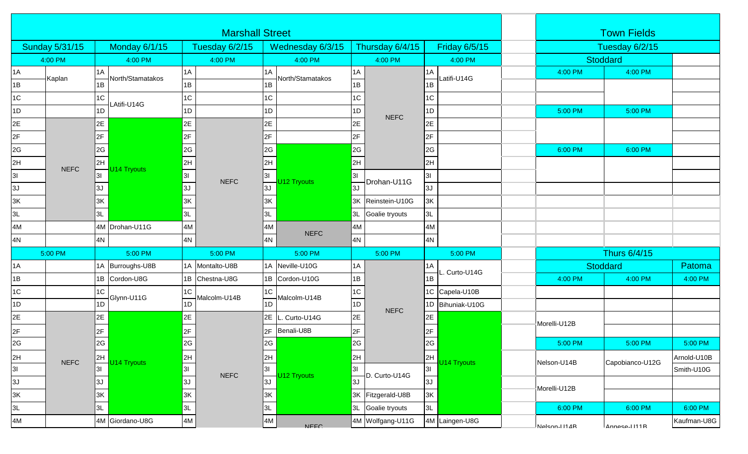| <b>Marshall Street</b> |             |                                            |                                                                                                 |                        |                 |          |                  |                |                    |     |                      | <b>Town Fields</b> |                |                 |             |
|------------------------|-------------|--------------------------------------------|-------------------------------------------------------------------------------------------------|------------------------|-----------------|----------|------------------|----------------|--------------------|-----|----------------------|--------------------|----------------|-----------------|-------------|
| <b>Sunday 5/31/15</b>  |             |                                            | <b>Monday 6/1/15</b>                                                                            |                        | Tuesday 6/2/15  |          | Wednesday 6/3/15 |                | Thursday 6/4/15    |     | <b>Friday 6/5/15</b> |                    | Tuesday 6/2/15 |                 |             |
| 4:00 PM                |             |                                            | 4:00 PM                                                                                         |                        | 4:00 PM         |          | 4:00 PM          |                | 4:00 PM            |     | 4:00 PM              |                    | Stoddard       |                 |             |
| 1A                     | Kaplan      | 1A                                         | North/Stamatakos                                                                                | 1A                     |                 | 1 A      | North/Stamatakos | 1A             | <b>NEFC</b>        | 1A  | Latifi-U14G          |                    | 4:00 PM        | 4:00 PM         |             |
| 1B                     |             | 1B                                         |                                                                                                 | 1B                     |                 | 1B       |                  | 1B             |                    | 1B  |                      |                    |                |                 |             |
| 1C                     |             | 1C                                         | Atifi-U14G                                                                                      | $1C$                   |                 | 1C       |                  | 1C             |                    | 1C  |                      |                    |                |                 |             |
| 1D                     |             | 1D                                         |                                                                                                 | 1D                     |                 | 1D       |                  | 1D             |                    | 1D  |                      |                    | 5:00 PM        | 5:00 PM         |             |
| 2E                     |             | 2E                                         | 2E<br>2F<br>2G<br>2H<br>U14 Tryouts<br>3 <sup>l</sup><br>3J<br>3K<br>3L<br>4M Drohan-U11G<br>4M |                        | 2E              |          | 2E               |                | 2E                 |     |                      |                    |                |                 |             |
| 2F                     |             | 2F<br> 2G <br>2H<br> 3 <br>IЗJ<br>3K<br>3L |                                                                                                 |                        | <b>NEFC</b>     | 2F       |                  | 2F<br>2G       |                    | 2F  |                      |                    |                |                 |             |
| 2G                     |             |                                            |                                                                                                 |                        |                 | 2G       |                  |                |                    | 2G  |                      |                    | 6:00 PM        | 6:00 PM         |             |
| 2H                     | <b>NEFC</b> |                                            |                                                                                                 |                        |                 | 2H       |                  | 2H             |                    | 2H  |                      |                    |                |                 |             |
| 3I                     |             |                                            |                                                                                                 |                        |                 | 3I<br>3J | U12 Tryouts      | 3I             |                    | 3I  |                      |                    |                |                 |             |
| 3J                     |             |                                            |                                                                                                 |                        |                 |          |                  | 3J             | Drohan-U11G        | 3J  |                      |                    |                |                 |             |
| 3K                     |             |                                            |                                                                                                 |                        |                 | 3K       |                  |                | 3K Reinstein-U10G  | 3K  |                      |                    |                |                 |             |
| 3L                     |             |                                            |                                                                                                 |                        | 3L              |          | 3L               | Goalie tryouts | 3L                 |     |                      |                    |                |                 |             |
| 4M                     |             |                                            |                                                                                                 |                        |                 | 4M       |                  | 4M             |                    | 4M  |                      |                    |                |                 |             |
| 4N                     |             | 4N                                         |                                                                                                 | $4N$                   |                 | 4N       | <b>NEFC</b>      | 4N             |                    | 4N  |                      |                    |                |                 |             |
|                        | 5:00 PM     |                                            | 5:00 PM                                                                                         |                        | 5:00 PM         |          | 5:00 PM          |                | 5:00 PM<br>5:00 PM |     |                      |                    | Thurs 6/4/15   |                 |             |
| 1A                     |             | 1A                                         | Burroughs-U8B                                                                                   |                        | 1A Montalto-U8B |          | 1A Neville-U10G  | 1A             |                    | 1A  | . Curto-U14G         |                    |                | <b>Stoddard</b> | Patoma      |
| 1B                     |             |                                            | 1B Cordon-U8G                                                                                   |                        | 1B Chestna-U8G  |          | 1B Cordon-U10G   | 1B             |                    | 1B  |                      |                    | 4:00 PM        | 4:00 PM         | 4:00 PM     |
| 1C                     |             | 1C                                         |                                                                                                 | 1C<br>Glynn-U11G<br>1D | Malcolm-U14B    | 1C       | Malcolm-U14B     | $1\mathrm{C}$  | <b>NEFC</b>        |     | 1C Capela-U10B       |                    |                |                 |             |
| 1D                     |             | 1D                                         |                                                                                                 |                        |                 | 1D       |                  | 1D             |                    | 1D. | Bihuniak-U10G        |                    |                |                 |             |
| 2E                     |             | 2E<br>2F<br>2G<br>2H<br>3I<br>3J           | U14 Tryouts<br>4M Giordano-U8G                                                                  | 2E<br>2F               | <b>NEFC</b>     |          | 2E L. Curto-U14G | 2E             |                    | 2E  |                      | Morelli-U12B       |                |                 |             |
| 2F                     |             |                                            |                                                                                                 |                        |                 | 2F       | Benali-U8B       | 2F<br>2G       |                    | 2F  |                      |                    |                |                 |             |
| 2G                     |             |                                            |                                                                                                 | 2G                     |                 | 2G       |                  |                |                    | 2G  |                      |                    | 5:00 PM        | 5:00 PM         | 5:00 PM     |
| 2H                     |             |                                            |                                                                                                 |                        |                 | 2H       |                  | 2H             |                    | 2H  |                      |                    | Nelson-U14B    | Capobianco-U12G | Arnold-U10B |
| 3I                     | <b>NEFC</b> |                                            |                                                                                                 | $\frac{2H}{3I}$        |                 | 3I       |                  | 3I             | D. Curto-U14G      | 3I  | U14 Tryouts          |                    |                |                 | Smith-U10G  |
| $3J$                   |             |                                            |                                                                                                 | 3J<br>3K               |                 | 3J       | U12 Tryouts      | 3J             |                    | 3J  |                      |                    |                |                 |             |
| 3K                     |             | 3K                                         |                                                                                                 |                        |                 | 3K       |                  |                | 3K Fitzgerald-U8B  | 3K  |                      |                    | Morelli-U12B   |                 |             |
| 3L                     |             | 3L                                         |                                                                                                 | 3L                     |                 | 3L       |                  |                | 3L Goalie tryouts  | 3L  |                      |                    | 6:00 PM        | 6:00 PM         | 6:00 PM     |
| $4\mathsf{M}$          |             |                                            |                                                                                                 | 4M                     |                 | 4M       | <b>NEEC</b>      |                | 4M Wolfgang-U11G   |     | 4M Laingen-U8G       |                    | Naleon-H11AR   | Annacal111R     | Kaufman-U8G |